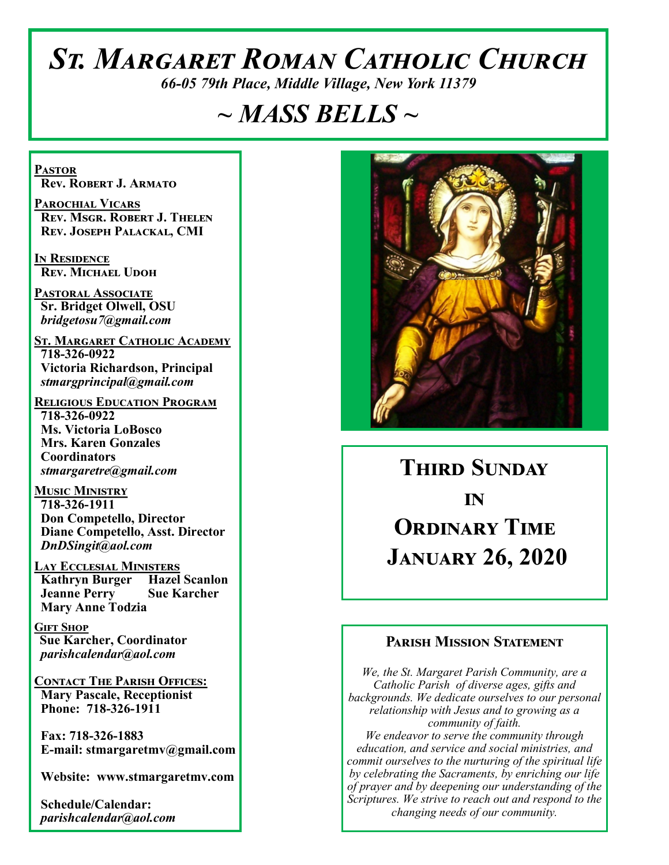# *St. Margaret Roman Catholic Church*

*66-05 79th Place, Middle Village, New York 11379*

# *~ MASS BELLS ~*

**Pastor Rev. Robert J. Armato**

**Parochial Vicars Rev. Msgr. Robert J. Thelen Rev. Joseph Palackal, CMI**

**In Residence Rev. Michael Udoh**

**Pastoral Associate Sr. Bridget Olwell, OSU**  *bridgetosu7@gmail.com*

**St. Margaret Catholic Academy 718-326-0922 Victoria Richardson, Principal**  *stmargprincipal@gmail.com*

**Religious Education Program 718-326-0922 Ms. Victoria LoBosco Mrs. Karen Gonzales Coordinators** *stmargaretre@gmail.com*

**Music Ministry 718-326-1911 Don Competello, Director Diane Competello, Asst. Director** *DnDSingit@aol.com*

**Lay Ecclesial Ministers Kathryn Burger Hazel Scanlon Jeanne Perry Sue Karcher Mary Anne Todzia**

**Gift Shop Sue Karcher, Coordinator** *parishcalendar@aol.com*

**Contact The Parish Offices: Mary Pascale, Receptionist Phone: 718-326-1911** 

 **Fax: 718-326-1883 E-mail: stmargaretmv@gmail.com**

 **Website: www.stmargaretmv.com**

 **Schedule/Calendar:** *parishcalendar@aol.com* 



**THIRD SUNDAY** *in* **ORDINARY TIME January 26, 2020** 

#### **Parish Mission Statement**

*We, the St. Margaret Parish Community, are a Catholic Parish of diverse ages, gifts and backgrounds. We dedicate ourselves to our personal relationship with Jesus and to growing as a community of faith. We endeavor to serve the community through education, and service and social ministries, and commit ourselves to the nurturing of the spiritual life by celebrating the Sacraments, by enriching our life of prayer and by deepening our understanding of the Scriptures. We strive to reach out and respond to the changing needs of our community.*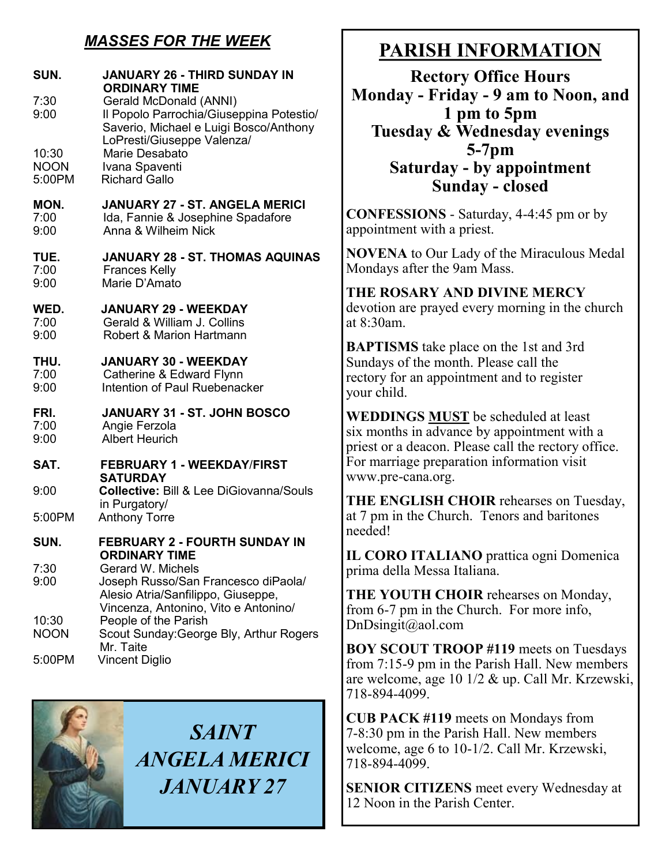# *MASSES FOR THE WEEK*

| SUN.<br>7:30<br>9:00           | <b>JANUARY 26 - THIRD SUNDAY IN</b><br><b>ORDINARY TIME</b><br>Gerald McDonald (ANNI)<br>Il Popolo Parrochia/Giuseppina Potestio/<br>Saverio, Michael e Luigi Bosco/Anthony |
|--------------------------------|-----------------------------------------------------------------------------------------------------------------------------------------------------------------------------|
| 10:30<br><b>NOON</b><br>5:00PM | LoPresti/Giuseppe Valenza/<br>Marie Desabato<br>Ivana Spaventi<br><b>Richard Gallo</b>                                                                                      |
| MON.<br>7:00<br>9:00           | <b>JANUARY 27 - ST. ANGELA MERICI</b><br>Ida, Fannie & Josephine Spadafore<br>Anna & Wilheim Nick                                                                           |
| TUE.<br>7:00<br>9:00           | <b>JANUARY 28 - ST. THOMAS AQUINAS</b><br><b>Frances Kelly</b><br>Marie D'Amato                                                                                             |
| WED.<br>7:00<br>9:00           | <b>JANUARY 29 - WEEKDAY</b><br>Gerald & William J. Collins<br>Robert & Marion Hartmann                                                                                      |
| THU.<br>7:00<br>9:00           | <b>JANUARY 30 - WEEKDAY</b><br>Catherine & Edward Flynn<br>Intention of Paul Ruebenacker                                                                                    |
| FRI.<br>7:00<br>9:00           | <b>JANUARY 31 - ST. JOHN BOSCO</b><br>Angie Ferzola<br><b>Albert Heurich</b>                                                                                                |
| SAT.                           | <b>FEBRUARY 1 - WEEKDAY/FIRST</b>                                                                                                                                           |
| 9:00                           | <b>SATURDAY</b><br><b>Collective: Bill &amp; Lee DiGiovanna/Souls</b>                                                                                                       |
| 5:00PM                         | in Purgatory/<br><b>Anthony Torre</b>                                                                                                                                       |
| SUN.                           | <b>FEBRUARY 2 - FOURTH SUNDAY IN</b><br>ORDINARY IIME                                                                                                                       |
| 7:30<br>9:00                   | Gerard W. Michels<br>Joseph Russo/San Francesco diPaola/<br>Alesio Atria/Sanfilippo, Giuseppe,                                                                              |
| 10:30<br><b>NOON</b>           | Vincenza, Antonino, Vito e Antonino/<br>People of the Parish<br>Scout Sunday: George Bly, Arthur Rogers<br>Mr. Taite                                                        |
| 5:00PM                         | Vincent Diglio                                                                                                                                                              |

*SAINT ANGELA MERICI JANUARY 27*

# **PARISH INFORMATION**

**Rectory Office Hours Monday - Friday - 9 am to Noon, and 1 pm to 5pm Tuesday & Wednesday evenings 5-7pm Saturday - by appointment Sunday - closed**

**CONFESSIONS** - Saturday, 4-4:45 pm or by appointment with a priest.

**NOVENA** to Our Lady of the Miraculous Medal Mondays after the 9am Mass.

#### **THE ROSARY AND DIVINE MERCY** devotion are prayed every morning in the church at 8:30am.

**BAPTISMS** take place on the 1st and 3rd Sundays of the month. Please call the rectory for an appointment and to register your child.

**WEDDINGS MUST** be scheduled at least six months in advance by appointment with a priest or a deacon. Please call the rectory office. For marriage preparation information visit www.pre-cana.org.

**THE ENGLISH CHOIR** rehearses on Tuesday, at 7 pm in the Church. Tenors and baritones needed!

**IL CORO ITALIANO** prattica ogni Domenica prima della Messa Italiana.

**THE YOUTH CHOIR** rehearses on Monday, from 6-7 pm in the Church. For more info, DnDsingit@aol.com

**BOY SCOUT TROOP #119** meets on Tuesdays from 7:15-9 pm in the Parish Hall. New members are welcome, age 10 1/2 & up. Call Mr. Krzewski, 718-894-4099.

**CUB PACK #119** meets on Mondays from 7-8:30 pm in the Parish Hall. New members welcome, age 6 to 10-1/2. Call Mr. Krzewski, 718-894-4099.

**SENIOR CITIZENS** meet every Wednesday at 12 Noon in the Parish Center.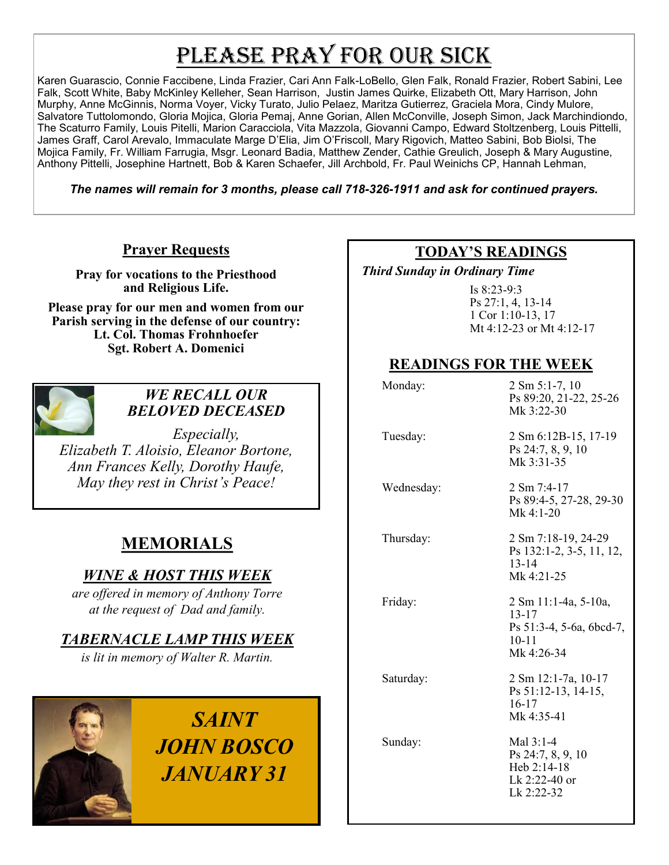# PLEASE PRAY FOR OUR SICK

Karen Guarascio, Connie Faccibene, Linda Frazier, Cari Ann Falk-LoBello, Glen Falk, Ronald Frazier, Robert Sabini, Lee Falk, Scott White, Baby McKinley Kelleher, Sean Harrison, Justin James Quirke, Elizabeth Ott, Mary Harrison, John Murphy, Anne McGinnis, Norma Voyer, Vicky Turato, Julio Pelaez, Maritza Gutierrez, Graciela Mora, Cindy Mulore, Salvatore Tuttolomondo, Gloria Mojica, Gloria Pemaj, Anne Gorian, Allen McConville, Joseph Simon, Jack Marchindiondo, The Scaturro Family, Louis Pitelli, Marion Caracciola, Vita Mazzola, Giovanni Campo, Edward Stoltzenberg, Louis Pittelli, James Graff, Carol Arevalo, Immaculate Marge D'Elia, Jim O'Friscoll, Mary Rigovich, Matteo Sabini, Bob Biolsi, The Mojica Family, Fr. William Farrugia, Msgr. Leonard Badia, Matthew Zender, Cathie Greulich, Joseph & Mary Augustine, Anthony Pittelli, Josephine Hartnett, Bob & Karen Schaefer, Jill Archbold, Fr. Paul Weinichs CP, Hannah Lehman,

*The names will remain for 3 months, please call 718-326-1911 and ask for continued prayers.*

#### **Prayer Requests**

**Pray for vocations to the Priesthood and Religious Life.** 

**Please pray for our men and women from our Parish serving in the defense of our country: Lt. Col. Thomas Frohnhoefer Sgt. Robert A. Domenici** 



#### *WE RECALL OUR BELOVED DECEASED*

*Especially, Elizabeth T. Aloisio, Eleanor Bortone, Ann Frances Kelly, Dorothy Haufe, May they rest in Christ's Peace!*

## **MEMORIALS**

#### *WINE & HOST THIS WEEK*

*are offered in memory of Anthony Torre at the request of Dad and family.* 

## *TABERNACLE LAMP THIS WEEK*

*is lit in memory of Walter R. Martin.* 



*SAINT JOHN BOSCO JANUARY 31*

#### **TODAY'S READINGS**

 *Third Sunday in Ordinary Time* 

Is 8:23-9:3 Ps 27:1, 4, 13-14 1 Cor 1:10-13, 17 Mt 4:12-23 or Mt 4:12-17

#### **READINGS FOR THE WEEK**

| Monday:    | $2 \text{ Sm } 5:1-7,10$<br>Ps 89:20, 21-22, 25-26<br>Mk 3:22-30                         |
|------------|------------------------------------------------------------------------------------------|
| Tuesday:   | 2 Sm 6:12B-15, 17-19<br>Ps 24:7, 8, 9, 10<br>Mk 3:31-35                                  |
| Wednesday: | 2 Sm 7:4-17<br>Ps 89:4-5, 27-28, 29-30<br>$Mk$ 4:1-20                                    |
| Thursday:  | 2 Sm 7:18-19, 24-29<br>Ps 132:1-2, 3-5, 11, 12,<br>$13 - 14$<br>Mk 4:21-25               |
| Friday:    | 2 Sm 11:1-4a, 5-10a,<br>$13 - 17$<br>Ps 51:3-4, 5-6a, 6bcd-7,<br>$10 - 11$<br>Mk 4:26-34 |
| Saturday:  | 2 Sm 12:1-7a, 10-17<br>Ps 51:12-13, 14-15,<br>16-17<br>Mk 4:35-41                        |
| Sunday:    | Mal 3:1-4<br>Ps 24:7, 8, 9, 10<br>Heb 2:14-18<br>Lk 2:22-40 or<br>Lk 2:22-32             |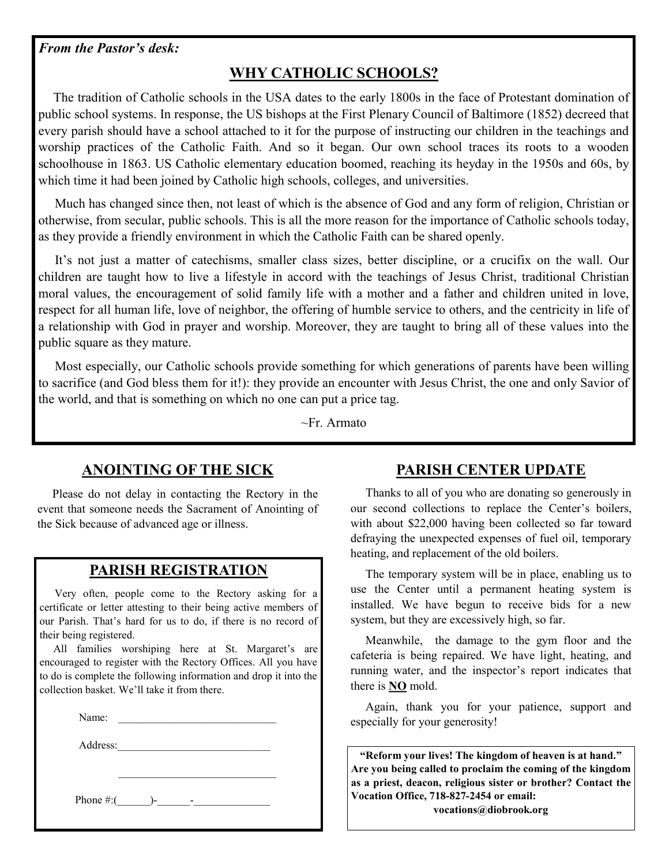#### *From the Pastor's desk:*

#### **WHY CATHOLIC SCHOOLS?**

 The tradition of Catholic schools in the USA dates to the early 1800s in the face of Protestant domination of public school systems. In response, the US bishops at the First Plenary Council of Baltimore (1852) decreed that every parish should have a school attached to it for the purpose of instructing our children in the teachings and worship practices of the Catholic Faith. And so it began. Our own school traces its roots to a wooden schoolhouse in 1863. US Catholic elementary education boomed, reaching its heyday in the 1950s and 60s, by which time it had been joined by Catholic high schools, colleges, and universities.

 Much has changed since then, not least of which is the absence of God and any form of religion, Christian or otherwise, from secular, public schools. This is all the more reason for the importance of Catholic schools today, as they provide a friendly environment in which the Catholic Faith can be shared openly.

 It's not just a matter of catechisms, smaller class sizes, better discipline, or a crucifix on the wall. Our children are taught how to live a lifestyle in accord with the teachings of Jesus Christ, traditional Christian moral values, the encouragement of solid family life with a mother and a father and children united in love, respect for all human life, love of neighbor, the offering of humble service to others, and the centricity in life of a relationship with God in prayer and worship. Moreover, they are taught to bring all of these values into the public square as they mature.

 Most especially, our Catholic schools provide something for which generations of parents have been willing to sacrifice (and God bless them for it!): they provide an encounter with Jesus Christ, the one and only Savior of the world, and that is something on which no one can put a price tag.

 $\sim$ Fr. Armato

#### **ANOINTING OF THE SICK**

 Please do not delay in contacting the Rectory in the event that someone needs the Sacrament of Anointing of the Sick because of advanced age or illness.

#### **PARISH REGISTRATION**

 Very often, people come to the Rectory asking for a certificate or letter attesting to their being active members of our Parish. That's hard for us to do, if there is no record of their being registered.

 All families worshiping here at St. Margaret's are encouraged to register with the Rectory Offices. All you have to do is complete the following information and drop it into the collection basket. We'll take it from there.

Name:

Address:

Phone  $\#$ :(  $\qquad$  )-  $\qquad$  -

#### **PARISH CENTER UPDATE**

 Thanks to all of you who are donating so generously in our second collections to replace the Center's boilers, with about \$22,000 having been collected so far toward defraying the unexpected expenses of fuel oil, temporary heating, and replacement of the old boilers.

 The temporary system will be in place, enabling us to use the Center until a permanent heating system is installed. We have begun to receive bids for a new system, but they are excessively high, so far.

 Meanwhile, the damage to the gym floor and the cafeteria is being repaired. We have light, heating, and running water, and the inspector's report indicates that there is **NO** mold.

 Again, thank you for your patience, support and especially for your generosity!

**"Reform your lives! The kingdom of heaven is at hand." Are you being called to proclaim the coming of the kingdom as a priest, deacon, religious sister or brother? Contact the Vocation Office, 718-827-2454 or email:** 

**vocations@diobrook.org**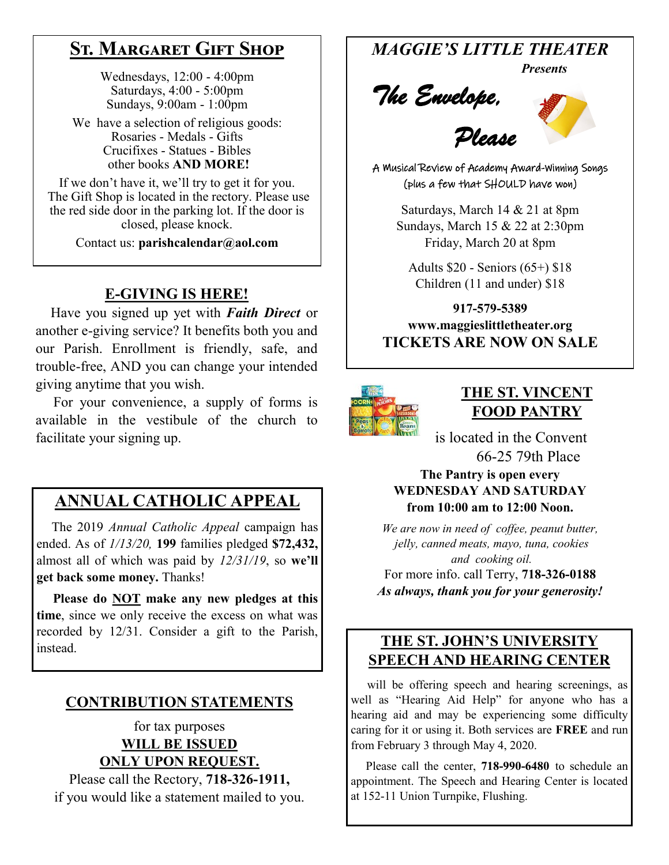# **St. Margaret Gift Shop**

Wednesdays, 12:00 - 4:00pm Saturdays, 4:00 - 5:00pm Sundays, 9:00am - 1:00pm

We have a selection of religious goods: Rosaries - Medals - Gifts Crucifixes - Statues - Bibles other books **AND MORE!**

If we don't have it, we'll try to get it for you. The Gift Shop is located in the rectory. Please use the red side door in the parking lot. If the door is closed, please knock.

Contact us: **parishcalendar@aol.com**

### **E-GIVING IS HERE!**

 Have you signed up yet with *Faith Direct* or another e-giving service? It benefits both you and our Parish. Enrollment is friendly, safe, and trouble-free, AND you can change your intended giving anytime that you wish.

 For your convenience, a supply of forms is available in the vestibule of the church to facilitate your signing up.

## **ANNUAL CATHOLIC APPEAL**

 The 2019 *Annual Catholic Appeal* campaign has ended. As of *1/13/20,* **199** families pledged **\$72,432,**  almost all of which was paid by *12/31/19*, so **we'll get back some money.** Thanks!

 **Please do NOT make any new pledges at this time**, since we only receive the excess on what was recorded by 12/31. Consider a gift to the Parish, instead.

#### **CONTRIBUTION STATEMENTS**

### for tax purposes **WILL BE ISSUED ONLY UPON REQUEST.**

Please call the Rectory, **718-326-1911,** if you would like a statement mailed to you.

# *MAGGIE'S LITTLE THEATER*

 *Presents*

 *The Envelope,* 



A Musical Review of Academy Award-Winning Songs (plus a few that SHOULD have won)

> Saturdays, March 14 & 21 at 8pm Sundays, March 15 & 22 at 2:30pm Friday, March 20 at 8pm

Adults \$20 - Seniors (65+) \$18 Children (11 and under) \$18

**917-579-5389 www.maggieslittletheater.org TICKETS ARE NOW ON SALE**



## **THE ST. VINCENT FOOD PANTRY**

 is located in the Convent 66-25 79th Place

#### **The Pantry is open every WEDNESDAY AND SATURDAY from 10:00 am to 12:00 Noon.**

*We are now in need of coffee, peanut butter, jelly, canned meats, mayo, tuna, cookies and cooking oil.*  For more info. call Terry, **718-326-0188** *As always, thank you for your generosity!*

### **THE ST. JOHN'S UNIVERSITY SPEECH AND HEARING CENTER**

 will be offering speech and hearing screenings, as well as "Hearing Aid Help" for anyone who has a hearing aid and may be experiencing some difficulty caring for it or using it. Both services are **FREE** and run from February 3 through May 4, 2020.

 Please call the center, **718-990-6480** to schedule an appointment. The Speech and Hearing Center is located at 152-11 Union Turnpike, Flushing.